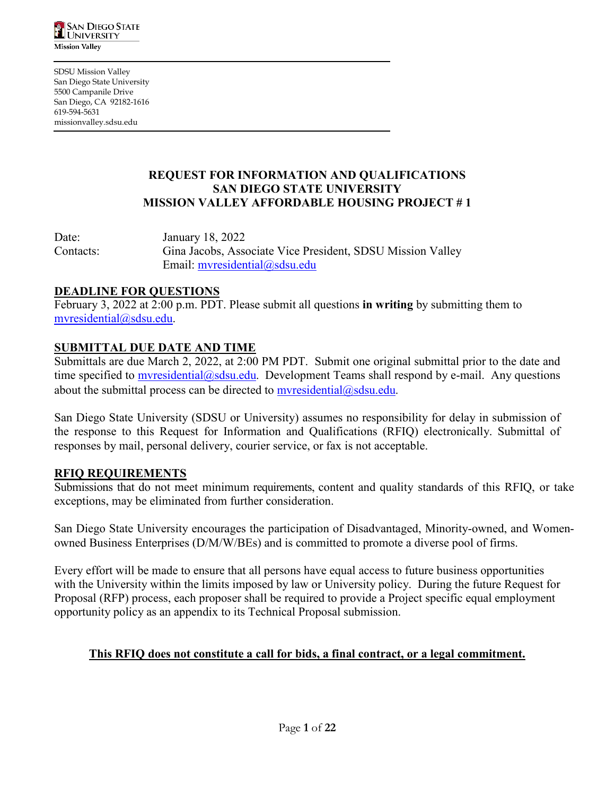

SDSU Mission Valley San Diego State University 5500 Campanile Drive San Diego, CA 92182-1616 619-594-5631 missionvalley.sdsu.edu

## **REQUEST FOR INFORMATION AND QUALIFICATIONS SAN DIEGO STATE UNIVERSITY MISSION VALLEY AFFORDABLE HOUSING PROJECT # 1**

Date: January 18, 2022 Contacts: Gina Jacobs, Associate Vice President, SDSU Mission Valley Email: [mvresidential@sdsu.edu](mailto:mvresidential@sdsu.edu)

## **DEADLINE FOR QUESTIONS**

February 3, 2022 at 2:00 p.m. PDT. Please submit all questions **in writing** by submitting them to [mvresidential@sdsu.edu.](mailto:mvresidential@sdsu.edu)

## **SUBMITTAL DUE DATE AND TIME**

Submittals are due March 2, 2022, at 2:00 PM PDT. Submit one original submittal prior to the date and time specified to [mvresidential@sdsu.edu](mailto:mvresidential@sdsu.edu). Development Teams shall respond by e-mail. Any questions about the submittal process can be directed to  $mversi<sub>d</sub>ential@s<sub>d</sub>su.edu.$ 

San Diego State University (SDSU or University) assumes no responsibility for delay in submission of the response to this Request for Information and Qualifications (RFIQ) electronically. Submittal of responses by mail, personal delivery, courier service, or fax is not acceptable.

## **RFIQ REQUIREMENTS**

Submissions that do not meet minimum requirements, content and quality standards of this RFIQ, or take exceptions, may be eliminated from further consideration.

San Diego State University encourages the participation of Disadvantaged, Minority-owned, and Womenowned Business Enterprises (D/M/W/BEs) and is committed to promote a diverse pool of firms.

Every effort will be made to ensure that all persons have equal access to future business opportunities with the University within the limits imposed by law or University policy. During the future Request for Proposal (RFP) process, each proposer shall be required to provide a Project specific equal employment opportunity policy as an appendix to its Technical Proposal submission.

### **This RFIQ does not constitute a call for bids, a final contract, or a legal commitment.**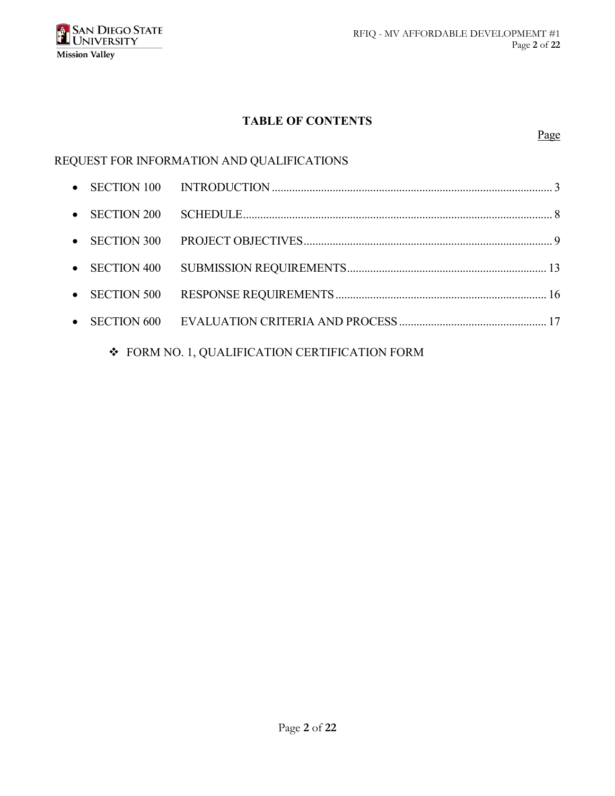

## **TABLE OF CONTENTS**

### Page

# REQUEST FOR INFORMATION AND QUALIFICATIONS

| $\bullet$ SECTION 200 |  |
|-----------------------|--|
| $\bullet$ SECTION 300 |  |
|                       |  |
| $\bullet$ SECTION 500 |  |
|                       |  |
|                       |  |

 $\div$  FORM NO. 1, QUALIFICATION CERTIFICATION FORM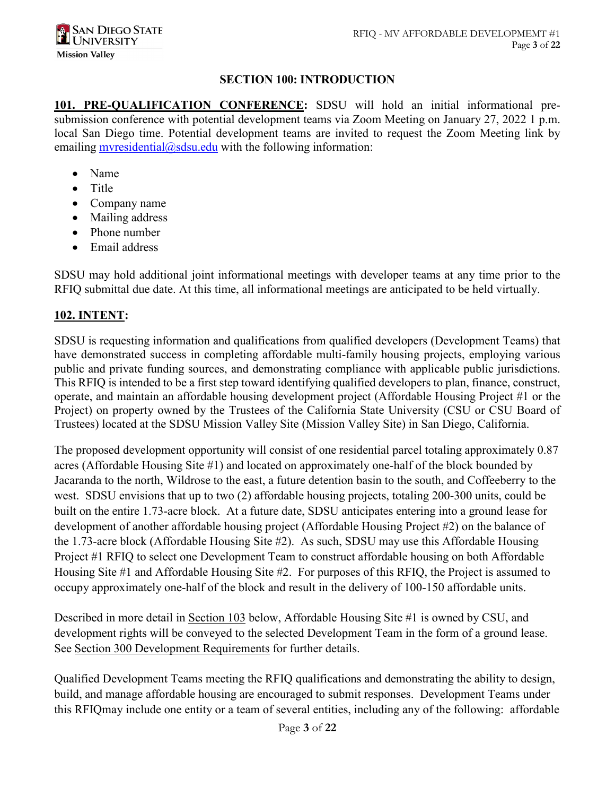### **SECTION 100: INTRODUCTION**

**101. PRE-QUALIFICATION CONFERENCE:** SDSU will hold an initial informational presubmission conference with potential development teams via Zoom Meeting on January 27, 2022 1 p.m. local San Diego time. Potential development teams are invited to request the Zoom Meeting link by emailing myresidential@sdsu.edu with the following information:

- Name
- Title
- Company name
- Mailing address
- Phone number
- Email address

SDSU may hold additional joint informational meetings with developer teams at any time prior to the RFIQ submittal due date. At this time, all informational meetings are anticipated to be held virtually.

## **102. INTENT:**

SDSU is requesting information and qualifications from qualified developers (Development Teams) that have demonstrated success in completing affordable multi-family housing projects, employing various public and private funding sources, and demonstrating compliance with applicable public jurisdictions. This RFIQ is intended to be a first step toward identifying qualified developers to plan, finance, construct, operate, and maintain an affordable housing development project (Affordable Housing Project #1 or the Project) on property owned by the Trustees of the California State University (CSU or CSU Board of Trustees) located at the SDSU Mission Valley Site (Mission Valley Site) in San Diego, California.

The proposed development opportunity will consist of one residential parcel totaling approximately 0.87 acres (Affordable Housing Site #1) and located on approximately one-half of the block bounded by Jacaranda to the north, Wildrose to the east, a future detention basin to the south, and Coffeeberry to the west. SDSU envisions that up to two (2) affordable housing projects, totaling 200-300 units, could be built on the entire 1.73-acre block. At a future date, SDSU anticipates entering into a ground lease for development of another affordable housing project (Affordable Housing Project #2) on the balance of the 1.73-acre block (Affordable Housing Site #2). As such, SDSU may use this Affordable Housing Project #1 RFIQ to select one Development Team to construct affordable housing on both Affordable Housing Site #1 and Affordable Housing Site #2. For purposes of this RFIQ, the Project is assumed to occupy approximately one-half of the block and result in the delivery of 100-150 affordable units.

Described in more detail in Section 103 below, Affordable Housing Site #1 is owned by CSU, and development rights will be conveyed to the selected Development Team in the form of a ground lease. See Section 300 Development Requirements for further details.

Qualified Development Teams meeting the RFIQ qualifications and demonstrating the ability to design, build, and manage affordable housing are encouraged to submit responses. Development Teams under this RFIQmay include one entity or a team of several entities, including any of the following: affordable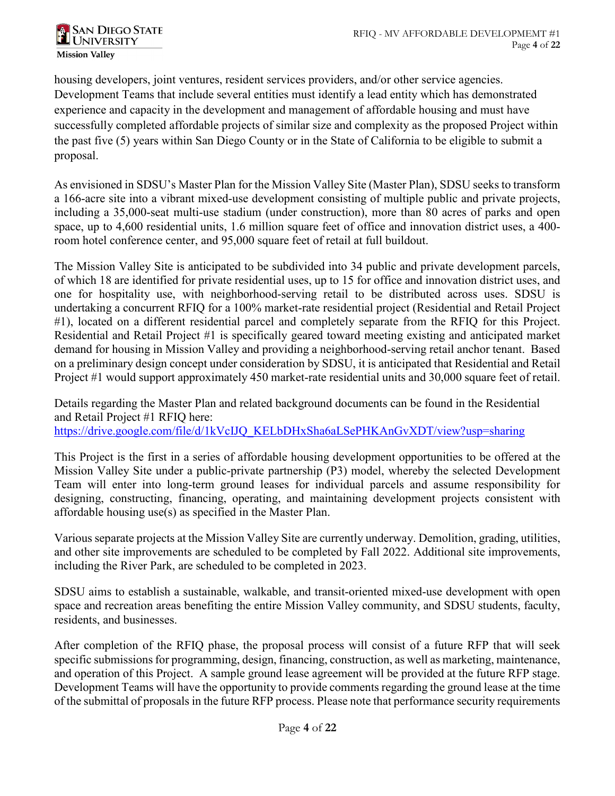**SAN DIEGO STATE SAN DIEGO S**<br>LUNIVERSITY **Mission Valley** 

housing developers, joint ventures, resident services providers, and/or other service agencies. Development Teams that include several entities must identify a lead entity which has demonstrated experience and capacity in the development and management of affordable housing and must have successfully completed affordable projects of similar size and complexity as the proposed Project within the past five (5) years within San Diego County or in the State of California to be eligible to submit a proposal.

As envisioned in SDSU's Master Plan for the Mission Valley Site (Master Plan), SDSU seeks to transform a 166-acre site into a vibrant mixed-use development consisting of multiple public and private projects, including a 35,000-seat multi-use stadium (under construction), more than 80 acres of parks and open space, up to 4,600 residential units, 1.6 million square feet of office and innovation district uses, a 400 room hotel conference center, and 95,000 square feet of retail at full buildout.

The Mission Valley Site is anticipated to be subdivided into 34 public and private development parcels, of which 18 are identified for private residential uses, up to 15 for office and innovation district uses, and one for hospitality use, with neighborhood-serving retail to be distributed across uses. SDSU is undertaking a concurrent RFIQ for a 100% market-rate residential project (Residential and Retail Project #1), located on a different residential parcel and completely separate from the RFIQ for this Project. Residential and Retail Project #1 is specifically geared toward meeting existing and anticipated market demand for housing in Mission Valley and providing a neighborhood-serving retail anchor tenant. Based on a preliminary design concept under consideration by SDSU, it is anticipated that Residential and Retail Project #1 would support approximately 450 market-rate residential units and 30,000 square feet of retail.

Details regarding the Master Plan and related background documents can be found in the Residential and Retail Project #1 RFIQ here: [https://drive.google.com/file/d/1kVcIJQ\\_KELbDHxSha6aLSePHKAnGvXDT/view?usp=sharing](https://drive.google.com/file/d/1kVcIJQ_KELbDHxSha6aLSePHKAnGvXDT/view?usp=sharing)

This Project is the first in a series of affordable housing development opportunities to be offered at the Mission Valley Site under a public-private partnership (P3) model, whereby the selected Development Team will enter into long-term ground leases for individual parcels and assume responsibility for designing, constructing, financing, operating, and maintaining development projects consistent with affordable housing use(s) as specified in the Master Plan.

Various separate projects at the Mission Valley Site are currently underway. Demolition, grading, utilities, and other site improvements are scheduled to be completed by Fall 2022. Additional site improvements, including the River Park, are scheduled to be completed in 2023.

SDSU aims to establish a sustainable, walkable, and transit-oriented mixed-use development with open space and recreation areas benefiting the entire Mission Valley community, and SDSU students, faculty, residents, and businesses.

After completion of the RFIQ phase, the proposal process will consist of a future RFP that will seek specific submissions for programming, design, financing, construction, as well as marketing, maintenance, and operation of this Project. A sample ground lease agreement will be provided at the future RFP stage. Development Teams will have the opportunity to provide comments regarding the ground lease at the time of the submittal of proposals in the future RFP process. Please note that performance security requirements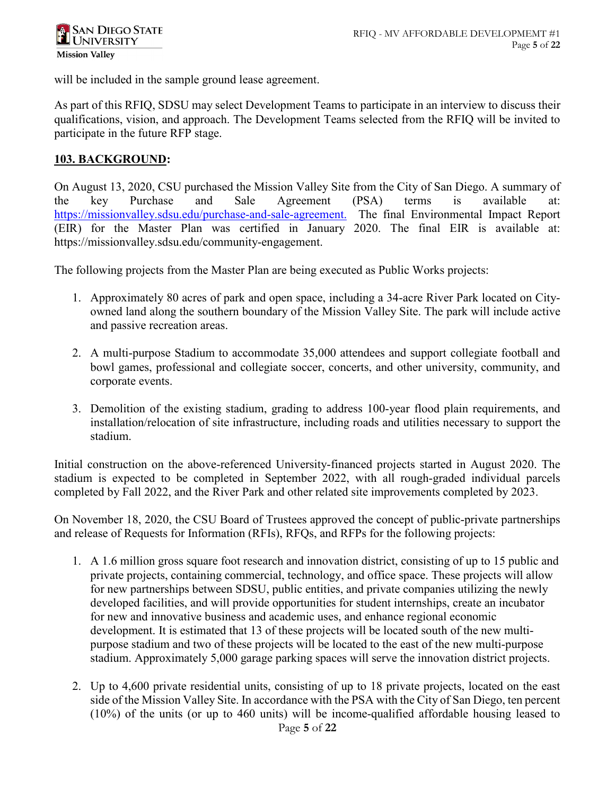

will be included in the sample ground lease agreement.

As part of this RFIQ, SDSU may select Development Teams to participate in an interview to discuss their qualifications, vision, and approach. The Development Teams selected from the RFIQ will be invited to participate in the future RFP stage.

### **103. BACKGROUND:**

On August 13, 2020, CSU purchased the Mission Valley Site from the City of San Diego. A summary of the key Purchase and Sale Agreement (PSA) terms is available at: <https://missionvalley.sdsu.edu/purchase-and-sale-agreement.>The final Environmental Impact Report (EIR) for the Master Plan was certified in January 2020. The final EIR is available at: https://missionvalley.sdsu.edu/community-engagement.

The following projects from the Master Plan are being executed as Public Works projects:

- 1. Approximately 80 acres of park and open space, including a 34-acre River Park located on Cityowned land along the southern boundary of the Mission Valley Site. The park will include active and passive recreation areas.
- 2. A multi-purpose Stadium to accommodate 35,000 attendees and support collegiate football and bowl games, professional and collegiate soccer, concerts, and other university, community, and corporate events.
- 3. Demolition of the existing stadium, grading to address 100-year flood plain requirements, and installation/relocation of site infrastructure, including roads and utilities necessary to support the stadium.

Initial construction on the above-referenced University-financed projects started in August 2020. The stadium is expected to be completed in September 2022, with all rough-graded individual parcels completed by Fall 2022, and the River Park and other related site improvements completed by 2023.

On November 18, 2020, the CSU Board of Trustees approved the concept of public-private partnerships and release of Requests for Information (RFIs), RFQs, and RFPs for the following projects:

- 1. A 1.6 million gross square foot research and innovation district, consisting of up to 15 public and private projects, containing commercial, technology, and office space. These projects will allow for new partnerships between SDSU, public entities, and private companies utilizing the newly developed facilities, and will provide opportunities for student internships, create an incubator for new and innovative business and academic uses, and enhance regional economic development. It is estimated that 13 of these projects will be located south of the new multipurpose stadium and two of these projects will be located to the east of the new multi-purpose stadium. Approximately 5,000 garage parking spaces will serve the innovation district projects.
- 2. Up to 4,600 private residential units, consisting of up to 18 private projects, located on the east side of the Mission Valley Site. In accordance with the PSA with the City of San Diego, ten percent (10%) of the units (or up to 460 units) will be income-qualified affordable housing leased to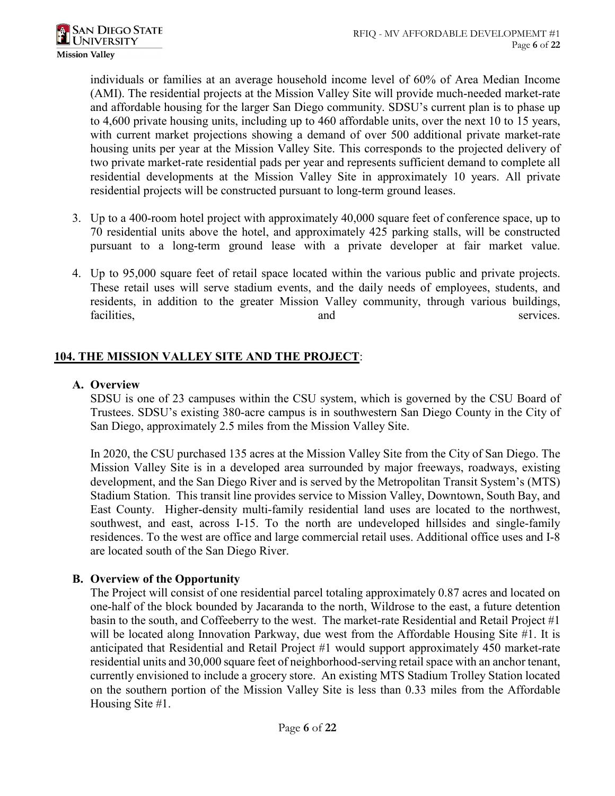individuals or families at an average household income level of 60% of Area Median Income (AMI). The residential projects at the Mission Valley Site will provide much-needed market-rate and affordable housing for the larger San Diego community. SDSU's current plan is to phase up to 4,600 private housing units, including up to 460 affordable units, over the next 10 to 15 years, with current market projections showing a demand of over 500 additional private market-rate housing units per year at the Mission Valley Site. This corresponds to the projected delivery of two private market-rate residential pads per year and represents sufficient demand to complete all residential developments at the Mission Valley Site in approximately 10 years. All private residential projects will be constructed pursuant to long-term ground leases.

- 3. Up to a 400-room hotel project with approximately 40,000 square feet of conference space, up to 70 residential units above the hotel, and approximately 425 parking stalls, will be constructed pursuant to a long-term ground lease with a private developer at fair market value.
- 4. Up to 95,000 square feet of retail space located within the various public and private projects. These retail uses will serve stadium events, and the daily needs of employees, students, and residents, in addition to the greater Mission Valley community, through various buildings, facilities, and services.

## **104. THE MISSION VALLEY SITE AND THE PROJECT**:

### **A. Overview**

SDSU is one of 23 campuses within the CSU system, which is governed by the CSU Board of Trustees. SDSU's existing 380-acre campus is in southwestern San Diego County in the City of San Diego, approximately 2.5 miles from the Mission Valley Site.

In 2020, the CSU purchased 135 acres at the Mission Valley Site from the City of San Diego. The Mission Valley Site is in a developed area surrounded by major freeways, roadways, existing development, and the San Diego River and is served by the Metropolitan Transit System's (MTS) Stadium Station. This transit line provides service to Mission Valley, Downtown, South Bay, and East County. Higher-density multi-family residential land uses are located to the northwest, southwest, and east, across I-15. To the north are undeveloped hillsides and single-family residences. To the west are office and large commercial retail uses. Additional office uses and I-8 are located south of the San Diego River.

## **B. Overview of the Opportunity**

The Project will consist of one residential parcel totaling approximately 0.87 acres and located on one-half of the block bounded by Jacaranda to the north, Wildrose to the east, a future detention basin to the south, and Coffeeberry to the west. The market-rate Residential and Retail Project #1 will be located along Innovation Parkway, due west from the Affordable Housing Site #1. It is anticipated that Residential and Retail Project #1 would support approximately 450 market-rate residential units and 30,000 square feet of neighborhood-serving retail space with an anchor tenant, currently envisioned to include a grocery store. An existing MTS Stadium Trolley Station located on the southern portion of the Mission Valley Site is less than 0.33 miles from the Affordable Housing Site #1.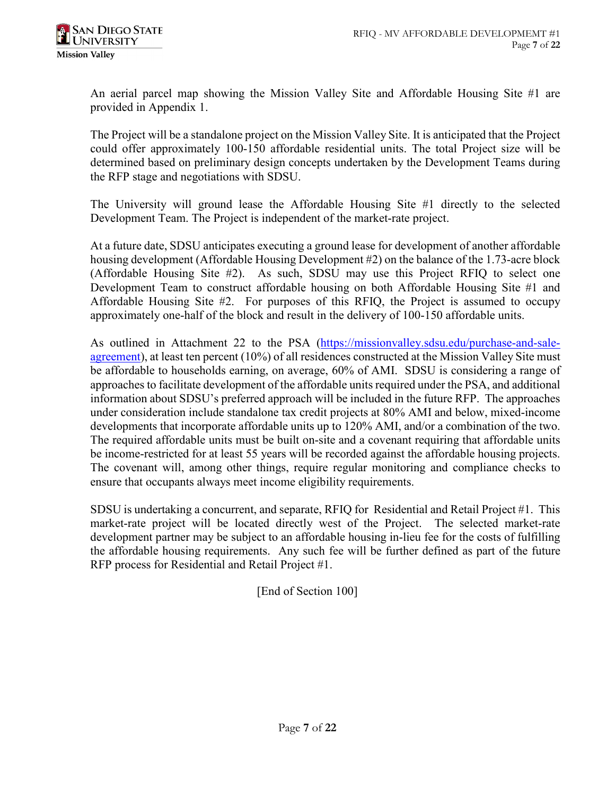An aerial parcel map showing the Mission Valley Site and Affordable Housing Site #1 are provided in Appendix 1.

The Project will be a standalone project on the Mission Valley Site. It is anticipated that the Project could offer approximately 100-150 affordable residential units. The total Project size will be determined based on preliminary design concepts undertaken by the Development Teams during the RFP stage and negotiations with SDSU.

The University will ground lease the Affordable Housing Site #1 directly to the selected Development Team. The Project is independent of the market-rate project.

At a future date, SDSU anticipates executing a ground lease for development of another affordable housing development (Affordable Housing Development #2) on the balance of the 1.73-acre block (Affordable Housing Site #2). As such, SDSU may use this Project RFIQ to select one Development Team to construct affordable housing on both Affordable Housing Site #1 and Affordable Housing Site #2. For purposes of this RFIQ, the Project is assumed to occupy approximately one-half of the block and result in the delivery of 100-150 affordable units.

As outlined in Attachment 22 to the PSA [\(https://missionvalley.sdsu.edu/purchase-and-sale](https://missionvalley.sdsu.edu/purchase-and-sale-agreement)[agreement\)](https://missionvalley.sdsu.edu/purchase-and-sale-agreement), at least ten percent (10%) of all residences constructed at the Mission Valley Site must be affordable to households earning, on average, 60% of AMI. SDSU is considering a range of approaches to facilitate development of the affordable units required under the PSA, and additional information about SDSU's preferred approach will be included in the future RFP. The approaches under consideration include standalone tax credit projects at 80% AMI and below, mixed-income developments that incorporate affordable units up to 120% AMI, and/or a combination of the two. The required affordable units must be built on-site and a covenant requiring that affordable units be income-restricted for at least 55 years will be recorded against the affordable housing projects. The covenant will, among other things, require regular monitoring and compliance checks to ensure that occupants always meet income eligibility requirements.

SDSU is undertaking a concurrent, and separate, RFIQ for Residential and Retail Project #1. This market-rate project will be located directly west of the Project. The selected market-rate development partner may be subject to an affordable housing in-lieu fee for the costs of fulfilling the affordable housing requirements. Any such fee will be further defined as part of the future RFP process for Residential and Retail Project #1.

[End of Section 100]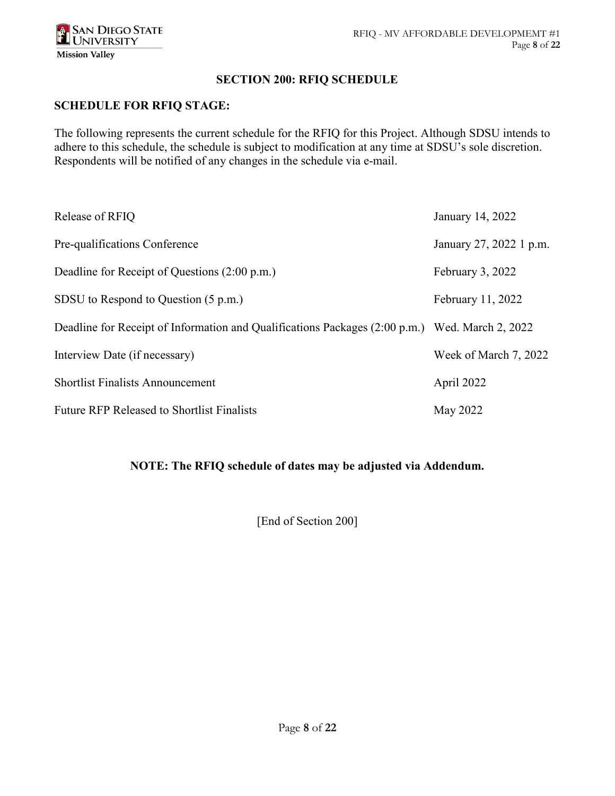### **SECTION 200: RFIQ SCHEDULE**

### **SCHEDULE FOR RFIQ STAGE:**

The following represents the current schedule for the RFIQ for this Project. Although SDSU intends to adhere to this schedule, the schedule is subject to modification at any time at SDSU's sole discretion. Respondents will be notified of any changes in the schedule via e-mail.

| Release of RFIQ                                                                                | January 14, 2022        |
|------------------------------------------------------------------------------------------------|-------------------------|
| Pre-qualifications Conference                                                                  | January 27, 2022 1 p.m. |
| Deadline for Receipt of Questions (2:00 p.m.)                                                  | February 3, 2022        |
| SDSU to Respond to Question (5 p.m.)                                                           | February 11, 2022       |
| Deadline for Receipt of Information and Qualifications Packages (2:00 p.m.) Wed. March 2, 2022 |                         |
| Interview Date (if necessary)                                                                  | Week of March 7, 2022   |
| <b>Shortlist Finalists Announcement</b>                                                        | April 2022              |
| <b>Future RFP Released to Shortlist Finalists</b>                                              | May 2022                |

## **NOTE: The RFIQ schedule of dates may be adjusted via Addendum.**

[End of Section 200]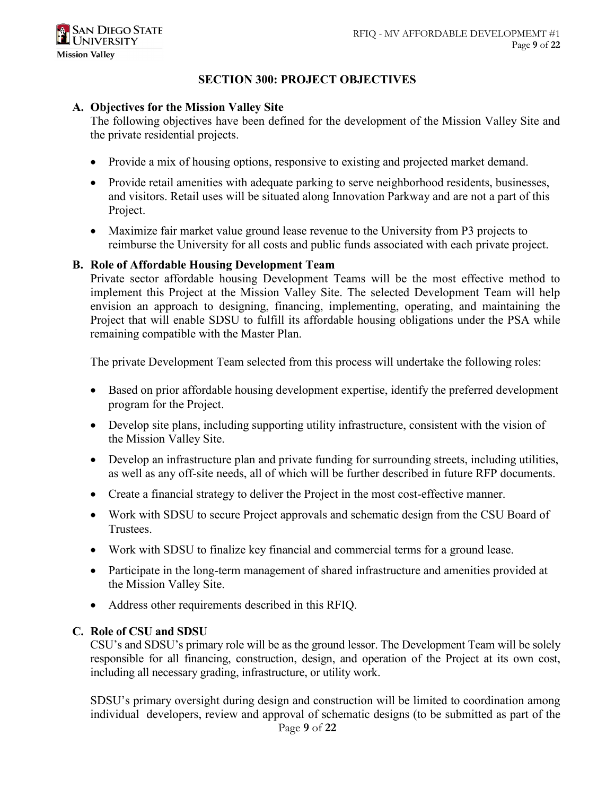### **SECTION 300: PROJECT OBJECTIVES**

### **A. Objectives for the Mission Valley Site**

The following objectives have been defined for the development of the Mission Valley Site and the private residential projects.

- Provide a mix of housing options, responsive to existing and projected market demand.
- Provide retail amenities with adequate parking to serve neighborhood residents, businesses, and visitors. Retail uses will be situated along Innovation Parkway and are not a part of this Project.
- Maximize fair market value ground lease revenue to the University from P3 projects to reimburse the University for all costs and public funds associated with each private project.

#### **B. Role of Affordable Housing Development Team**

Private sector affordable housing Development Teams will be the most effective method to implement this Project at the Mission Valley Site. The selected Development Team will help envision an approach to designing, financing, implementing, operating, and maintaining the Project that will enable SDSU to fulfill its affordable housing obligations under the PSA while remaining compatible with the Master Plan.

The private Development Team selected from this process will undertake the following roles:

- Based on prior affordable housing development expertise, identify the preferred development program for the Project.
- Develop site plans, including supporting utility infrastructure, consistent with the vision of the Mission Valley Site.
- Develop an infrastructure plan and private funding for surrounding streets, including utilities, as well as any off-site needs, all of which will be further described in future RFP documents.
- Create a financial strategy to deliver the Project in the most cost-effective manner.
- Work with SDSU to secure Project approvals and schematic design from the CSU Board of Trustees.
- Work with SDSU to finalize key financial and commercial terms for a ground lease.
- Participate in the long-term management of shared infrastructure and amenities provided at the Mission Valley Site.
- Address other requirements described in this RFIQ.

### **C. Role of CSU and SDSU**

CSU's and SDSU's primary role will be as the ground lessor. The Development Team will be solely responsible for all financing, construction, design, and operation of the Project at its own cost, including all necessary grading, infrastructure, or utility work.

SDSU's primary oversight during design and construction will be limited to coordination among individual developers, review and approval of schematic designs (to be submitted as part of the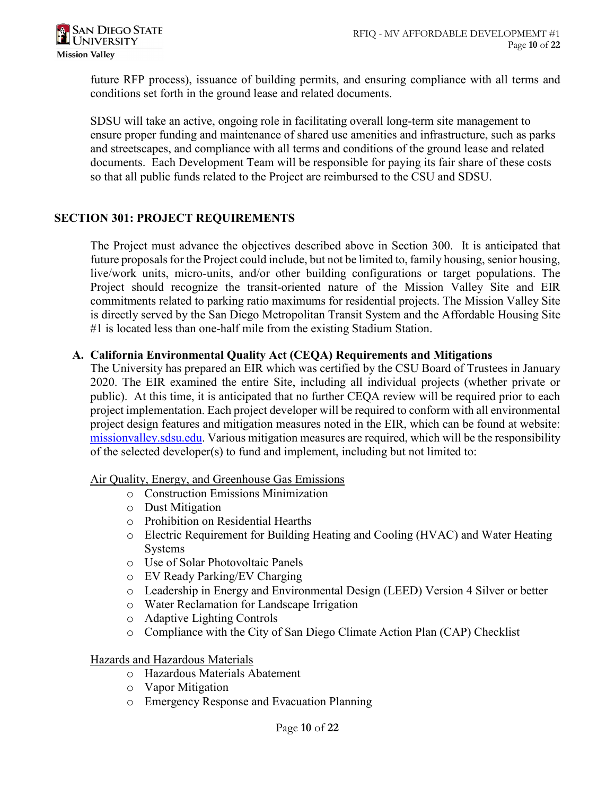future RFP process), issuance of building permits, and ensuring compliance with all terms and conditions set forth in the ground lease and related documents.

SDSU will take an active, ongoing role in facilitating overall long-term site management to ensure proper funding and maintenance of shared use amenities and infrastructure, such as parks and streetscapes, and compliance with all terms and conditions of the ground lease and related documents. Each Development Team will be responsible for paying its fair share of these costs so that all public funds related to the Project are reimbursed to the CSU and SDSU.

## **SECTION 301: PROJECT REQUIREMENTS**

The Project must advance the objectives described above in Section 300. It is anticipated that future proposals for the Project could include, but not be limited to, family housing, senior housing, live/work units, micro-units, and/or other building configurations or target populations. The Project should recognize the transit-oriented nature of the Mission Valley Site and EIR commitments related to parking ratio maximums for residential projects. The Mission Valley Site is directly served by the San Diego Metropolitan Transit System and the Affordable Housing Site #1 is located less than one-half mile from the existing Stadium Station.

## **A. California Environmental Quality Act (CEQA) Requirements and Mitigations**

The University has prepared an EIR which was certified by the CSU Board of Trustees in January 2020. The EIR examined the entire Site, including all individual projects (whether private or public). At this time, it is anticipated that no further CEQA review will be required prior to each project implementation. Each project developer will be required to conform with all environmental project design features and mitigation measures noted in the EIR, which can be found at website: [missionvalley.sdsu.edu.](https://missionvalley.sdsu.edu/community-engagement) Various mitigation measures are required, which will be the responsibility of the selected developer(s) to fund and implement, including but not limited to:

### Air Quality, Energy, and Greenhouse Gas Emissions

- o Construction Emissions Minimization
- o Dust Mitigation
- o Prohibition on Residential Hearths
- o Electric Requirement for Building Heating and Cooling (HVAC) and Water Heating **Systems**
- o Use of Solar Photovoltaic Panels
- o EV Ready Parking/EV Charging
- o Leadership in Energy and Environmental Design (LEED) Version 4 Silver or better
- o Water Reclamation for Landscape Irrigation
- o Adaptive Lighting Controls
- o Compliance with the City of San Diego Climate Action Plan (CAP) Checklist

### Hazards and Hazardous Materials

- o Hazardous Materials Abatement
- o Vapor Mitigation
- o Emergency Response and Evacuation Planning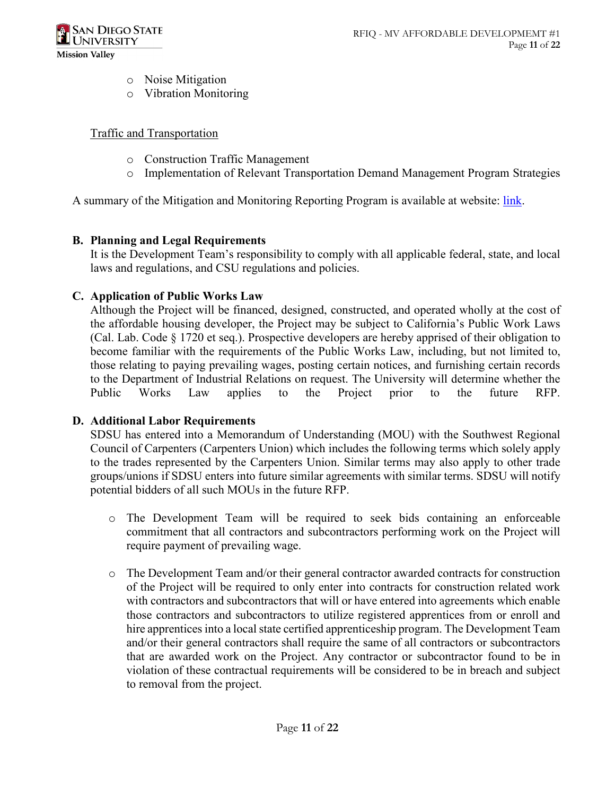

- o Noise Mitigation
- o Vibration Monitoring

### Traffic and Transportation

- o Construction Traffic Management
- o Implementation of Relevant Transportation Demand Management Program Strategies

A summary of the Mitigation and Monitoring Reporting Program is available at website: [link.](https://missionvalley.sdsu.edu/pdfs/feir/sdsu-mission-valley-mmrp-1-27-20.pdf)

## **B. Planning and Legal Requirements**

It is the Development Team's responsibility to comply with all applicable federal, state, and local laws and regulations, and CSU regulations and policies.

### **C. Application of Public Works Law**

Although the Project will be financed, designed, constructed, and operated wholly at the cost of the affordable housing developer, the Project may be subject to California's Public Work Laws (Cal. Lab. Code § 1720 et seq.). Prospective developers are hereby apprised of their obligation to become familiar with the requirements of the Public Works Law, including, but not limited to, those relating to paying prevailing wages, posting certain notices, and furnishing certain records to the Department of Industrial Relations on request. The University will determine whether the Public Works Law applies to the Project prior to the future RFP.

## **D. Additional Labor Requirements**

SDSU has entered into a Memorandum of Understanding (MOU) with the Southwest Regional Council of Carpenters (Carpenters Union) which includes the following terms which solely apply to the trades represented by the Carpenters Union. Similar terms may also apply to other trade groups/unions if SDSU enters into future similar agreements with similar terms. SDSU will notify potential bidders of all such MOUs in the future RFP.

- o The Development Team will be required to seek bids containing an enforceable commitment that all contractors and subcontractors performing work on the Project will require payment of prevailing wage.
- o The Development Team and/or their general contractor awarded contracts for construction of the Project will be required to only enter into contracts for construction related work with contractors and subcontractors that will or have entered into agreements which enable those contractors and subcontractors to utilize registered apprentices from or enroll and hire apprentices into a local state certified apprenticeship program. The Development Team and/or their general contractors shall require the same of all contractors or subcontractors that are awarded work on the Project. Any contractor or subcontractor found to be in violation of these contractual requirements will be considered to be in breach and subject to removal from the project.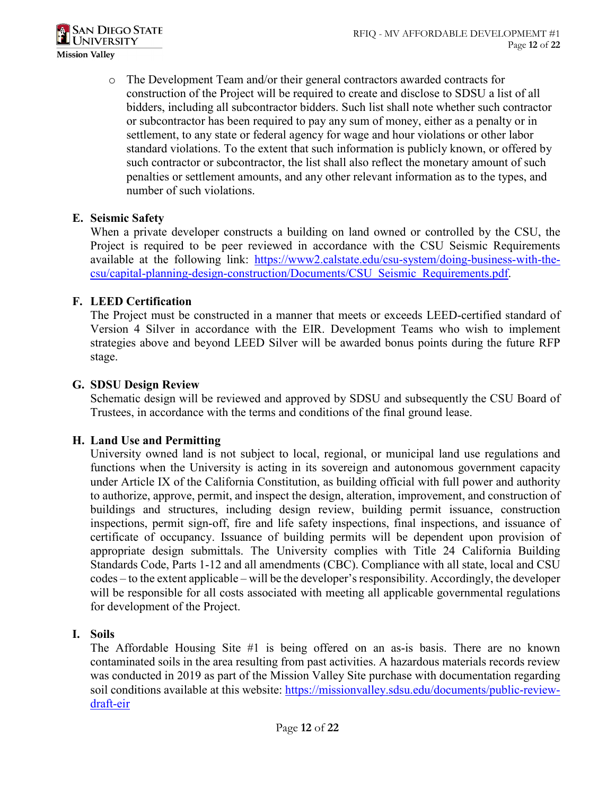

o The Development Team and/or their general contractors awarded contracts for construction of the Project will be required to create and disclose to SDSU a list of all bidders, including all subcontractor bidders. Such list shall note whether such contractor or subcontractor has been required to pay any sum of money, either as a penalty or in settlement, to any state or federal agency for wage and hour violations or other labor standard violations. To the extent that such information is publicly known, or offered by such contractor or subcontractor, the list shall also reflect the monetary amount of such penalties or settlement amounts, and any other relevant information as to the types, and number of such violations.

## **E. Seismic Safety**

When a private developer constructs a building on land owned or controlled by the CSU, the Project is required to be peer reviewed in accordance with the CSU Seismic Requirements available at the following link: [https://www2.calstate.edu/csu-system/doing-business-with-the](https://www2.calstate.edu/csu-system/doing-business-with-the-csu/capital-planning-design-construction/Documents/CSU_Seismic_Requirements.pdf)[csu/capital-planning-design-construction/Documents/CSU\\_Seismic\\_Requirements.pdf.](https://www2.calstate.edu/csu-system/doing-business-with-the-csu/capital-planning-design-construction/Documents/CSU_Seismic_Requirements.pdf)

## **F. LEED Certification**

The Project must be constructed in a manner that meets or exceeds LEED-certified standard of Version 4 Silver in accordance with the EIR. Development Teams who wish to implement strategies above and beyond LEED Silver will be awarded bonus points during the future RFP stage.

## **G. SDSU Design Review**

Schematic design will be reviewed and approved by SDSU and subsequently the CSU Board of Trustees, in accordance with the terms and conditions of the final ground lease.

# **H. Land Use and Permitting**

University owned land is not subject to local, regional, or municipal land use regulations and functions when the University is acting in its sovereign and autonomous government capacity under Article IX of the California Constitution, as building official with full power and authority to authorize, approve, permit, and inspect the design, alteration, improvement, and construction of buildings and structures, including design review, building permit issuance, construction inspections, permit sign-off, fire and life safety inspections, final inspections, and issuance of certificate of occupancy. Issuance of building permits will be dependent upon provision of appropriate design submittals. The University complies with Title 24 California Building Standards Code, Parts 1-12 and all amendments (CBC). Compliance with all state, local and CSU codes – to the extent applicable – will be the developer's responsibility. Accordingly, the developer will be responsible for all costs associated with meeting all applicable governmental regulations for development of the Project.

## **I. Soils**

The Affordable Housing Site #1 is being offered on an as-is basis. There are no known contaminated soils in the area resulting from past activities. A hazardous materials records review was conducted in 2019 as part of the Mission Valley Site purchase with documentation regarding soil conditions available at this website: [https://missionvalley.sdsu.edu/documents/public-review](https://missionvalley.sdsu.edu/documents/public-review-draft-eir)[draft-eir](https://missionvalley.sdsu.edu/documents/public-review-draft-eir)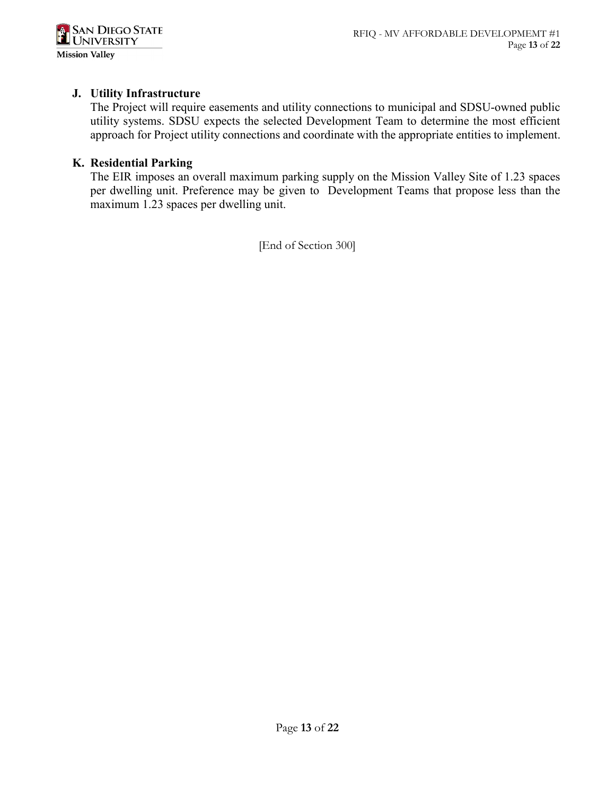

### **J. Utility Infrastructure**

The Project will require easements and utility connections to municipal and SDSU-owned public utility systems. SDSU expects the selected Development Team to determine the most efficient approach for Project utility connections and coordinate with the appropriate entities to implement.

### **K. Residential Parking**

The EIR imposes an overall maximum parking supply on the Mission Valley Site of 1.23 spaces per dwelling unit. Preference may be given to Development Teams that propose less than the maximum 1.23 spaces per dwelling unit.

[End of Section 300]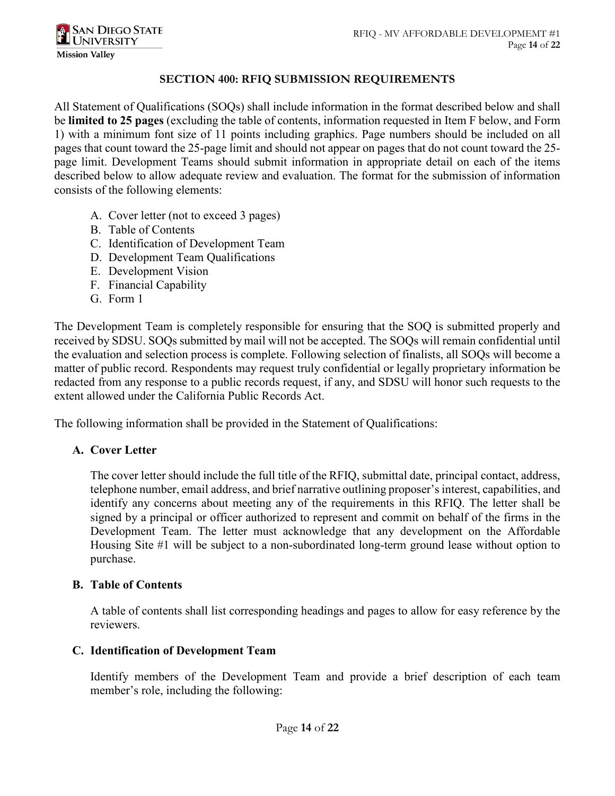

### **SECTION 400: RFIQ SUBMISSION REQUIREMENTS**

All Statement of Qualifications (SOQs) shall include information in the format described below and shall be **limited to 25 pages** (excluding the table of contents, information requested in Item F below, and Form 1) with a minimum font size of 11 points including graphics. Page numbers should be included on all pages that count toward the 25-page limit and should not appear on pages that do not count toward the 25 page limit. Development Teams should submit information in appropriate detail on each of the items described below to allow adequate review and evaluation. The format for the submission of information consists of the following elements:

- A. Cover letter (not to exceed 3 pages)
- B. Table of Contents
- C. Identification of Development Team
- D. Development Team Qualifications
- E. Development Vision
- F. Financial Capability
- G. Form 1

The Development Team is completely responsible for ensuring that the SOQ is submitted properly and received by SDSU. SOQs submitted by mail will not be accepted. The SOQs will remain confidential until the evaluation and selection process is complete. Following selection of finalists, all SOQs will become a matter of public record. Respondents may request truly confidential or legally proprietary information be redacted from any response to a public records request, if any, and SDSU will honor such requests to the extent allowed under the California Public Records Act.

The following information shall be provided in the Statement of Qualifications:

### **A. Cover Letter**

The cover letter should include the full title of the RFIQ, submittal date, principal contact, address, telephone number, email address, and brief narrative outlining proposer's interest, capabilities, and identify any concerns about meeting any of the requirements in this RFIQ. The letter shall be signed by a principal or officer authorized to represent and commit on behalf of the firms in the Development Team. The letter must acknowledge that any development on the Affordable Housing Site #1 will be subject to a non-subordinated long-term ground lease without option to purchase.

### **B. Table of Contents**

A table of contents shall list corresponding headings and pages to allow for easy reference by the reviewers.

### **C. Identification of Development Team**

Identify members of the Development Team and provide a brief description of each team member's role, including the following: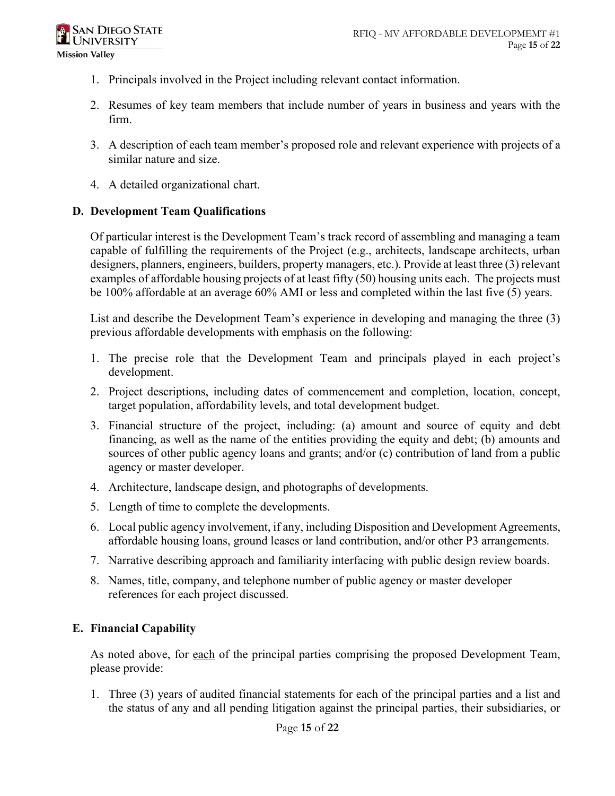- 1. Principals involved in the Project including relevant contact information.
- 2. Resumes of key team members that include number of years in business and years with the firm.
- 3. A description of each team member's proposed role and relevant experience with projects of a similar nature and size.
- 4. A detailed organizational chart.

# **D. Development Team Qualifications**

Of particular interest is the Development Team's track record of assembling and managing a team capable of fulfilling the requirements of the Project (e.g., architects, landscape architects, urban designers, planners, engineers, builders, property managers, etc.). Provide at least three (3) relevant examples of affordable housing projects of at least fifty (50) housing units each. The projects must be 100% affordable at an average 60% AMI or less and completed within the last five (5) years.

List and describe the Development Team's experience in developing and managing the three (3) previous affordable developments with emphasis on the following:

- 1. The precise role that the Development Team and principals played in each project's development.
- 2. Project descriptions, including dates of commencement and completion, location, concept, target population, affordability levels, and total development budget.
- 3. Financial structure of the project, including: (a) amount and source of equity and debt financing, as well as the name of the entities providing the equity and debt; (b) amounts and sources of other public agency loans and grants; and/or (c) contribution of land from a public agency or master developer.
- 4. Architecture, landscape design, and photographs of developments.
- 5. Length of time to complete the developments.
- 6. Local public agency involvement, if any, including Disposition and Development Agreements, affordable housing loans, ground leases or land contribution, and/or other P3 arrangements.
- 7. Narrative describing approach and familiarity interfacing with public design review boards.
- 8. Names, title, company, and telephone number of public agency or master developer references for each project discussed.

# **E. Financial Capability**

As noted above, for each of the principal parties comprising the proposed Development Team, please provide:

1. Three (3) years of audited financial statements for each of the principal parties and a list and the status of any and all pending litigation against the principal parties, their subsidiaries, or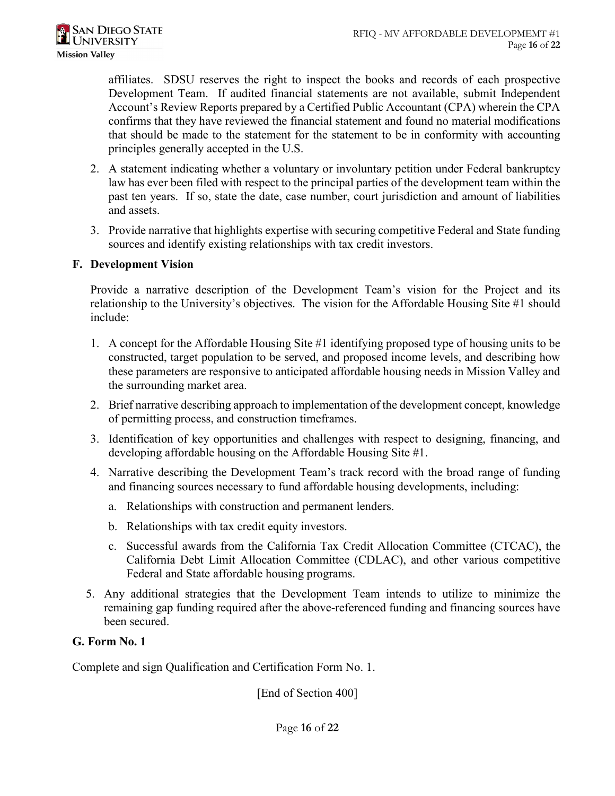affiliates. SDSU reserves the right to inspect the books and records of each prospective Development Team. If audited financial statements are not available, submit Independent Account's Review Reports prepared by a Certified Public Accountant (CPA) wherein the CPA confirms that they have reviewed the financial statement and found no material modifications that should be made to the statement for the statement to be in conformity with accounting principles generally accepted in the U.S.

- 2. A statement indicating whether a voluntary or involuntary petition under Federal bankruptcy law has ever been filed with respect to the principal parties of the development team within the past ten years. If so, state the date, case number, court jurisdiction and amount of liabilities and assets.
- 3. Provide narrative that highlights expertise with securing competitive Federal and State funding sources and identify existing relationships with tax credit investors.

### **F. Development Vision**

Provide a narrative description of the Development Team's vision for the Project and its relationship to the University's objectives. The vision for the Affordable Housing Site #1 should include:

- 1. A concept for the Affordable Housing Site #1 identifying proposed type of housing units to be constructed, target population to be served, and proposed income levels, and describing how these parameters are responsive to anticipated affordable housing needs in Mission Valley and the surrounding market area.
- 2. Brief narrative describing approach to implementation of the development concept, knowledge of permitting process, and construction timeframes.
- 3. Identification of key opportunities and challenges with respect to designing, financing, and developing affordable housing on the Affordable Housing Site #1.
- 4. Narrative describing the Development Team's track record with the broad range of funding and financing sources necessary to fund affordable housing developments, including:
	- a. Relationships with construction and permanent lenders.
	- b. Relationships with tax credit equity investors.
	- c. Successful awards from the California Tax Credit Allocation Committee (CTCAC), the California Debt Limit Allocation Committee (CDLAC), and other various competitive Federal and State affordable housing programs.
- 5. Any additional strategies that the Development Team intends to utilize to minimize the remaining gap funding required after the above-referenced funding and financing sources have been secured.

## **G. Form No. 1**

Complete and sign Qualification and Certification Form No. 1.

[End of Section 400]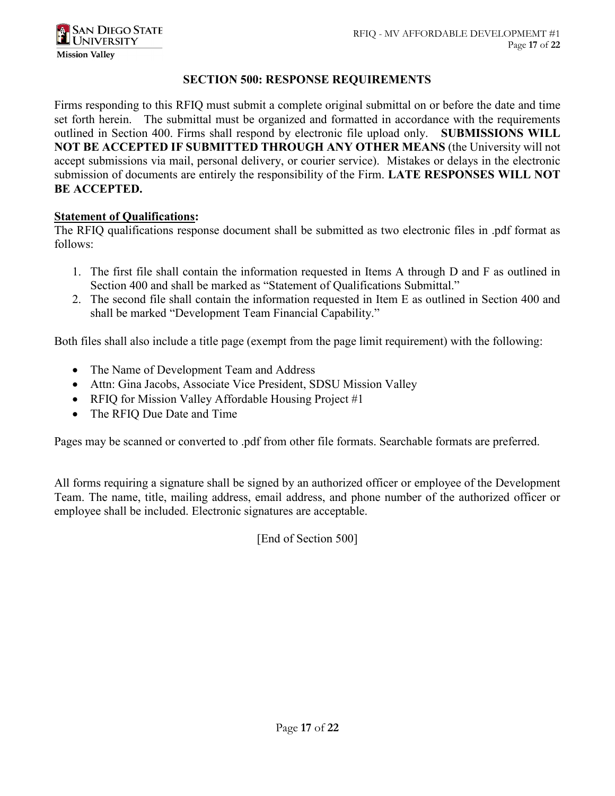### **SECTION 500: RESPONSE REQUIREMENTS**

Firms responding to this RFIQ must submit a complete original submittal on or before the date and time set forth herein. The submittal must be organized and formatted in accordance with the requirements outlined in Section 400. Firms shall respond by electronic file upload only. **SUBMISSIONS WILL NOT BE ACCEPTED IF SUBMITTED THROUGH ANY OTHER MEANS** (the University will not accept submissions via mail, personal delivery, or courier service). Mistakes or delays in the electronic submission of documents are entirely the responsibility of the Firm. **LATE RESPONSES WILL NOT BE ACCEPTED.**

### **Statement of Qualifications:**

The RFIQ qualifications response document shall be submitted as two electronic files in .pdf format as follows:

- 1. The first file shall contain the information requested in Items A through D and F as outlined in Section 400 and shall be marked as "Statement of Qualifications Submittal."
- 2. The second file shall contain the information requested in Item E as outlined in Section 400 and shall be marked "Development Team Financial Capability."

Both files shall also include a title page (exempt from the page limit requirement) with the following:

- The Name of Development Team and Address
- Attn: Gina Jacobs, Associate Vice President, SDSU Mission Valley
- RFIQ for Mission Valley Affordable Housing Project #1
- The RFIQ Due Date and Time

Pages may be scanned or converted to .pdf from other file formats. Searchable formats are preferred.

All forms requiring a signature shall be signed by an authorized officer or employee of the Development Team. The name, title, mailing address, email address, and phone number of the authorized officer or employee shall be included. Electronic signatures are acceptable.

[End of Section 500]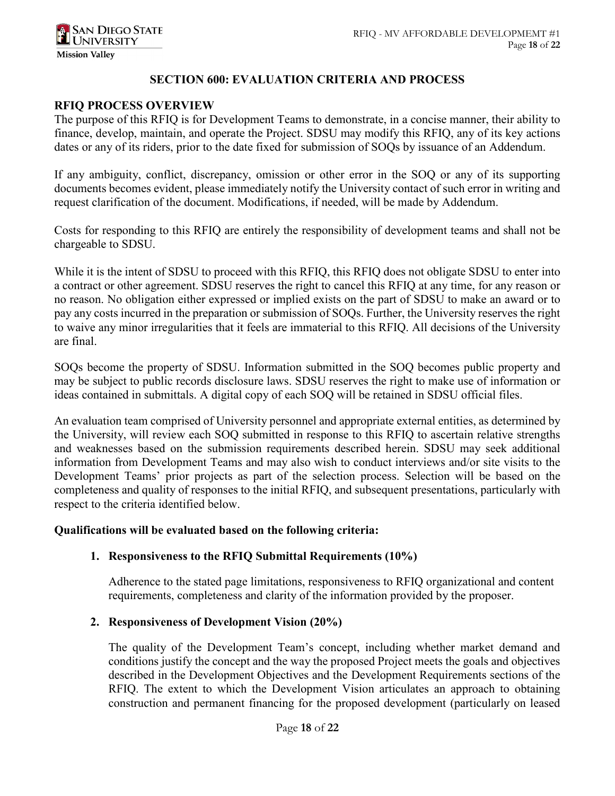### **SECTION 600: EVALUATION CRITERIA AND PROCESS**

### **RFIQ PROCESS OVERVIEW**

The purpose of this RFIQ is for Development Teams to demonstrate, in a concise manner, their ability to finance, develop, maintain, and operate the Project. SDSU may modify this RFIQ, any of its key actions dates or any of its riders, prior to the date fixed for submission of SOQs by issuance of an Addendum.

If any ambiguity, conflict, discrepancy, omission or other error in the SOQ or any of its supporting documents becomes evident, please immediately notify the University contact of such error in writing and request clarification of the document. Modifications, if needed, will be made by Addendum.

Costs for responding to this RFIQ are entirely the responsibility of development teams and shall not be chargeable to SDSU.

While it is the intent of SDSU to proceed with this RFIQ, this RFIQ does not obligate SDSU to enter into a contract or other agreement. SDSU reserves the right to cancel this RFIQ at any time, for any reason or no reason. No obligation either expressed or implied exists on the part of SDSU to make an award or to pay any costs incurred in the preparation or submission of SOQs. Further, the University reserves the right to waive any minor irregularities that it feels are immaterial to this RFIQ. All decisions of the University are final.

SOQs become the property of SDSU. Information submitted in the SOQ becomes public property and may be subject to public records disclosure laws. SDSU reserves the right to make use of information or ideas contained in submittals. A digital copy of each SOQ will be retained in SDSU official files.

An evaluation team comprised of University personnel and appropriate external entities, as determined by the University, will review each SOQ submitted in response to this RFIQ to ascertain relative strengths and weaknesses based on the submission requirements described herein. SDSU may seek additional information from Development Teams and may also wish to conduct interviews and/or site visits to the Development Teams' prior projects as part of the selection process. Selection will be based on the completeness and quality of responses to the initial RFIQ, and subsequent presentations, particularly with respect to the criteria identified below.

### **Qualifications will be evaluated based on the following criteria:**

### **1. Responsiveness to the RFIQ Submittal Requirements (10%)**

Adherence to the stated page limitations, responsiveness to RFIQ organizational and content requirements, completeness and clarity of the information provided by the proposer.

### **2. Responsiveness of Development Vision (20%)**

The quality of the Development Team's concept, including whether market demand and conditions justify the concept and the way the proposed Project meets the goals and objectives described in the Development Objectives and the Development Requirements sections of the RFIQ. The extent to which the Development Vision articulates an approach to obtaining construction and permanent financing for the proposed development (particularly on leased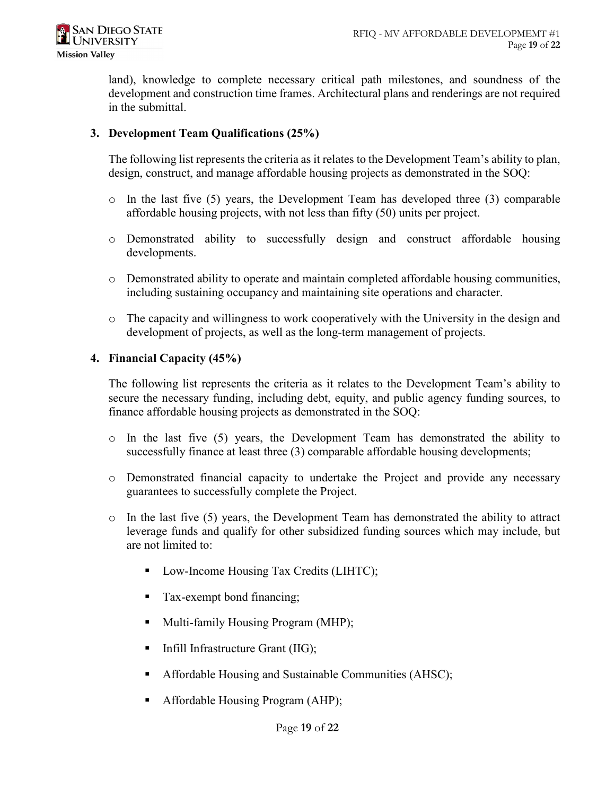land), knowledge to complete necessary critical path milestones, and soundness of the development and construction time frames. Architectural plans and renderings are not required in the submittal.

## **3. Development Team Qualifications (25%)**

The following list represents the criteria as it relates to the Development Team's ability to plan, design, construct, and manage affordable housing projects as demonstrated in the SOQ:

- o In the last five (5) years, the Development Team has developed three (3) comparable affordable housing projects, with not less than fifty (50) units per project.
- o Demonstrated ability to successfully design and construct affordable housing developments.
- o Demonstrated ability to operate and maintain completed affordable housing communities, including sustaining occupancy and maintaining site operations and character.
- o The capacity and willingness to work cooperatively with the University in the design and development of projects, as well as the long-term management of projects.

## **4. Financial Capacity (45%)**

The following list represents the criteria as it relates to the Development Team's ability to secure the necessary funding, including debt, equity, and public agency funding sources, to finance affordable housing projects as demonstrated in the SOQ:

- $\circ$  In the last five (5) years, the Development Team has demonstrated the ability to successfully finance at least three (3) comparable affordable housing developments;
- o Demonstrated financial capacity to undertake the Project and provide any necessary guarantees to successfully complete the Project.
- $\circ$  In the last five (5) years, the Development Team has demonstrated the ability to attract leverage funds and qualify for other subsidized funding sources which may include, but are not limited to:
	- Low-Income Housing Tax Credits (LIHTC);
	- **Tax-exempt bond financing;**
	- Multi-family Housing Program (MHP);
	- $\blacksquare$  Infill Infrastructure Grant (IIG);
	- Affordable Housing and Sustainable Communities (AHSC);
	- Affordable Housing Program (AHP);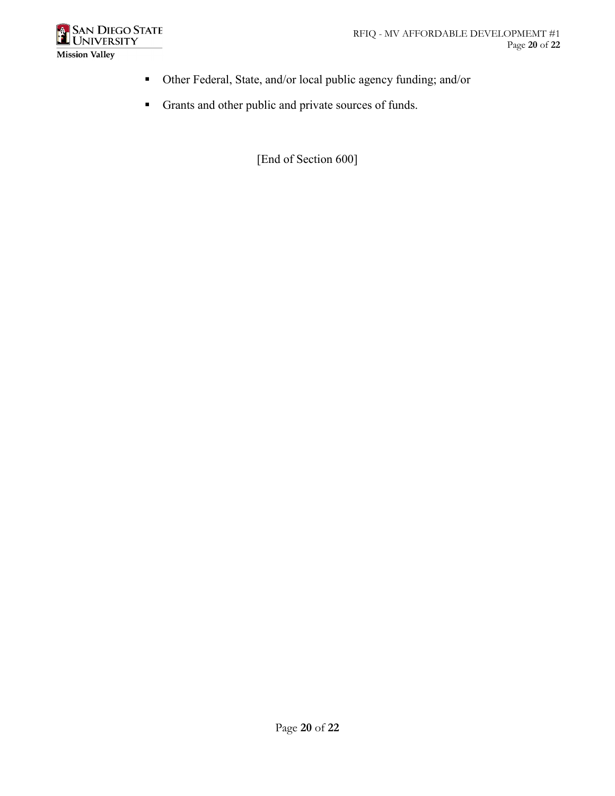

- Other Federal, State, and/or local public agency funding; and/or
- Grants and other public and private sources of funds.

[End of Section 600]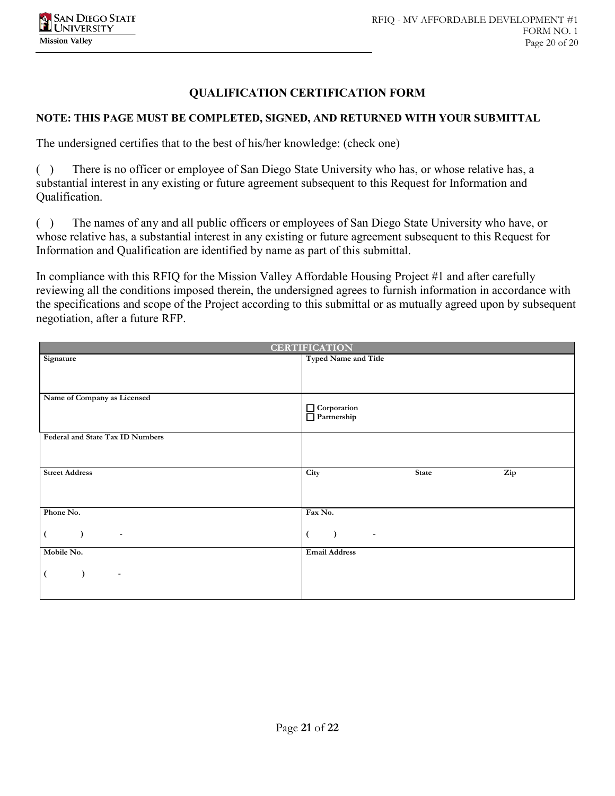## **QUALIFICATION CERTIFICATION FORM**

### **NOTE: THIS PAGE MUST BE COMPLETED, SIGNED, AND RETURNED WITH YOUR SUBMITTAL**

The undersigned certifies that to the best of his/her knowledge: (check one)

( ) There is no officer or employee of San Diego State University who has, or whose relative has, a substantial interest in any existing or future agreement subsequent to this Request for Information and Qualification.

( ) The names of any and all public officers or employees of San Diego State University who have, or whose relative has, a substantial interest in any existing or future agreement subsequent to this Request for Information and Qualification are identified by name as part of this submittal.

In compliance with this RFIQ for the Mission Valley Affordable Housing Project #1 and after carefully reviewing all the conditions imposed therein, the undersigned agrees to furnish information in accordance with the specifications and scope of the Project according to this submittal or as mutually agreed upon by subsequent negotiation, after a future RFP.

| <b>CERTIFICATION</b>             |                                                                                                                                                                                                                        |  |  |
|----------------------------------|------------------------------------------------------------------------------------------------------------------------------------------------------------------------------------------------------------------------|--|--|
| Signature                        | <b>Typed Name and Title</b>                                                                                                                                                                                            |  |  |
|                                  |                                                                                                                                                                                                                        |  |  |
|                                  |                                                                                                                                                                                                                        |  |  |
| Name of Company as Licensed      |                                                                                                                                                                                                                        |  |  |
|                                  | $\fbox{Corporation} \begin{tabular}{ c c } \hline \quad \quad & \quad \quad & \quad \quad \\ \hline \quad \quad & \quad \quad & \quad \quad \\ \hline \quad \quad & \quad \quad & \quad \quad \\ \hline \end{tabular}$ |  |  |
|                                  |                                                                                                                                                                                                                        |  |  |
| Federal and State Tax ID Numbers |                                                                                                                                                                                                                        |  |  |
|                                  |                                                                                                                                                                                                                        |  |  |
| <b>Street Address</b>            | Zip<br>City<br><b>State</b>                                                                                                                                                                                            |  |  |
|                                  |                                                                                                                                                                                                                        |  |  |
|                                  |                                                                                                                                                                                                                        |  |  |
| Phone No.                        | Fax No.                                                                                                                                                                                                                |  |  |
|                                  |                                                                                                                                                                                                                        |  |  |
| $\overline{\phantom{a}}$         | $\overline{\phantom{a}}$                                                                                                                                                                                               |  |  |
| Mobile No.                       | <b>Email Address</b>                                                                                                                                                                                                   |  |  |
|                                  |                                                                                                                                                                                                                        |  |  |
| $\overline{\phantom{a}}$         |                                                                                                                                                                                                                        |  |  |
|                                  |                                                                                                                                                                                                                        |  |  |